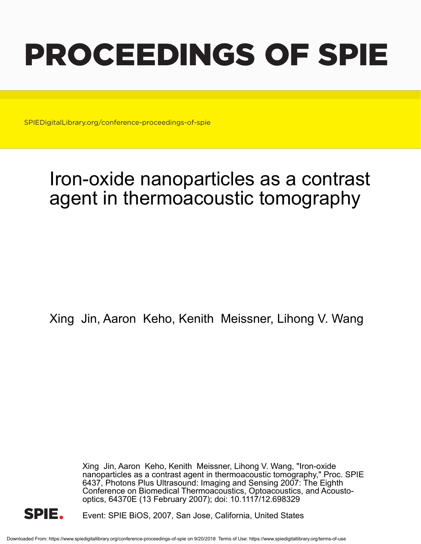# PROCEEDINGS OF SPIE

SPIEDigitalLibrary.org/conference-proceedings-of-spie

## Iron-oxide nanoparticles as a contrast agent in thermoacoustic tomography

Xing Jin, Aaron Keho, Kenith Meissner, Lihong V. Wang

Xing Jin, Aaron Keho, Kenith Meissner, Lihong V. Wang, "Iron-oxide nanoparticles as a contrast agent in thermoacoustic tomography," Proc. SPIE 6437, Photons Plus Ultrasound: Imaging and Sensing 2007: The Eighth Conference on Biomedical Thermoacoustics, Optoacoustics, and Acoustooptics, 64370E (13 February 2007); doi: 10.1117/12.698329



Event: SPIE BiOS, 2007, San Jose, California, United States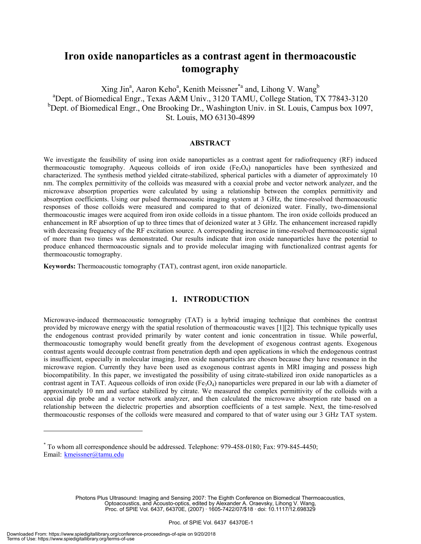### **Iron oxide nanoparticles as a contrast agent in thermoacoustic tomography**

Xing Jin<sup>a</sup>, Aaron Keho<sup>a</sup>, Kenith Meissner<sup>\*a</sup> and, Lihong V. Wang<sup>b</sup> <sup>a</sup>Dept. of Biomedical Engr., Texas A&M Univ., 3120 TAMU, College Station, TX 77843-3120 <sup>b</sup>Dept. of Biomedical Engr., One Brooking Dr., Washington Univ. in St. Louis, Campus box 1097, St. Louis, MO 63130-4899

#### **ABSTRACT**

We investigate the feasibility of using iron oxide nanoparticles as a contrast agent for radiofrequency (RF) induced thermoacoustic tomography. Aqueous colloids of iron oxide  $(Fe_3O_4)$  nanoparticles have been synthesized and characterized. The synthesis method yielded citrate-stabilized, spherical particles with a diameter of approximately 10 nm. The complex permittivity of the colloids was measured with a coaxial probe and vector network analyzer, and the microwave absorption properties were calculated by using a relationship between the complex permittivity and absorption coefficients. Using our pulsed thermoacoustic imaging system at 3 GHz, the time-resolved thermoacoustic responses of those colloids were measured and compared to that of deionized water. Finally, two-dimensional thermoacoustic images were acquired from iron oxide colloids in a tissue phantom. The iron oxide colloids produced an enhancement in RF absorption of up to three times that of deionized water at 3 GHz. The enhancement increased rapidly with decreasing frequency of the RF excitation source. A corresponding increase in time-resolved thermoacoustic signal of more than two times was demonstrated. Our results indicate that iron oxide nanoparticles have the potential to produce enhanced thermoacoustic signals and to provide molecular imaging with functionalized contrast agents for thermoacoustic tomography.

**Keywords:** Thermoacoustic tomography (TAT), contrast agent, iron oxide nanoparticle.

#### **1. INTRODUCTION**

Microwave-induced thermoacoustic tomography (TAT) is a hybrid imaging technique that combines the contrast provided by microwave energy with the spatial resolution of thermoacoustic waves [1][2]. This technique typically uses the endogenous contrast provided primarily by water content and ionic concentration in tissue. While powerful, thermoacoustic tomography would benefit greatly from the development of exogenous contrast agents. Exogenous contrast agents would decouple contrast from penetration depth and open applications in which the endogenous contrast is insufficient, especially in molecular imaging. Iron oxide nanoparticles are chosen because they have resonance in the microwave region. Currently they have been used as exogenous contrast agents in MRI imaging and possess high biocompatibility. In this paper, we investigated the possibility of using citrate-stabilized iron oxide nanoparticles as a contrast agent in TAT. Aqueous colloids of iron oxide  $(Fe<sub>3</sub>O<sub>4</sub>)$  nanoparticles were prepared in our lab with a diameter of approximately 10 nm and surface stabilized by citrate. We measured the complex permittivity of the colloids with a coaxial dip probe and a vector network analyzer, and then calculated the microwave absorption rate based on a relationship between the dielectric properties and absorption coefficients of a test sample. Next, the time-resolved thermoacoustic responses of the colloids were measured and compared to that of water using our 3 GHz TAT system.

Photons Plus Ultrasound: Imaging and Sensing 2007: The Eighth Conference on Biomedical Thermoacoustics, Optoacoustics, and Acousto-optics, edited by Alexander A. Oraevsky, Lihong V. Wang, Proc. of SPIE Vol. 6437, 64370E, (2007) · 1605-7422/07/\$18 · doi: 10.1117/12.698329

1

<sup>\*</sup> To whom all correspondence should be addressed. Telephone: 979-458-0180; Fax: 979-845-4450; Email: kmeissner@tamu.edu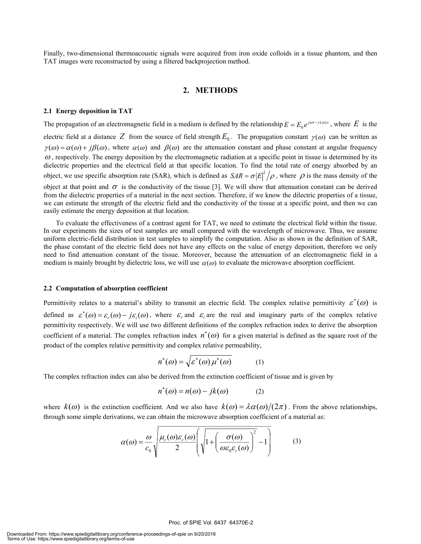Finally, two-dimensional thermoacoustic signals were acquired from iron oxide colloids in a tissue phantom, and then TAT images were reconstructed by using a filtered backprojection method.

#### **2. METHODS**

#### **2.1 Energy deposition in TAT**

The propagation of an electromagnetic field in a medium is defined by the relationship  $E = E_0 e^{j\omega t - \gamma(\omega)z}$ , where *E* is the electric field at a distance Z from the source of field strength  $E_0$ . The propagation constant  $\gamma(\omega)$  can be written as  $\gamma(\omega) = \alpha(\omega) + i\beta(\omega)$ , where  $\alpha(\omega)$  and  $\beta(\omega)$  are the attenuation constant and phase constant at angular frequency  $\omega$ , respectively. The energy deposition by the electromagnetic radiation at a specific point in tissue is determined by its dielectric properties and the electrical field at that specific location. To find the total rate of energy absorbed by an object, we use specific absorption rate (SAR), which is defined as  $SAR = \sigma |E|^2 / \rho$ , where  $\rho$  is the mass density of the object at that point and  $\sigma$  is the conductivity of the tissue [3]. We will show that attenuation constant can be derived from the dielectric properties of a material in the next section. Therefore, if we know the dilectric properties of a tissue, we can estimate the strength of the electric field and the conductivity of the tissue at a specific point, and then we can easily estimate the energy deposition at that location.

To evaluate the effectiveness of a contrast agent for TAT, we need to estimate the electrical field within the tissue. In our experiments the sizes of test samples are small compared with the wavelength of microwave. Thus, we assume uniform electric-field distribution in test samples to simplify the computation. Also as shown in the definition of SAR, the phase constant of the electric field does not have any effects on the value of energy deposition, therefore we only need to find attenuation constant of the tissue. Moreover, because the attenuation of an electromagnetic field in a medium is mainly brought by dielectric loss, we will use  $\alpha(\omega)$  to evaluate the microwave absorption coefficient.

#### **2.2 Computation of absorption coefficient**

Permittivity relates to a material's ability to transmit an electric field. The complex relative permittivity  $\varepsilon^*(\omega)$  is defined as  $\varepsilon^*(\omega) = \varepsilon_r(\omega) - j\varepsilon_i(\omega)$ , where  $\varepsilon_r$  and  $\varepsilon_i$  are the real and imaginary parts of the complex relative permittivity respectively. We will use two different definitions of the complex refraction index to derive the absorption coefficient of a material. The complex refraction index  $n^*(\omega)$  for a given material is defined as the square root of the product of the complex relative permittivity and complex relative permeability,

$$
n^*(\omega) = \sqrt{\varepsilon^*(\omega)\,\mu^*(\omega)}\tag{1}
$$

The complex refraction index can also be derived from the extinction coefficient of tissue and is given by

$$
n^*(\omega) = n(\omega) - jk(\omega) \tag{2}
$$

where  $k(\omega)$  is the extinction coefficient. And we also have  $k(\omega) = \lambda \alpha(\omega)/(2\pi)$ . From the above relationships, through some simple derivations, we can obtain the microwave absorption coefficient of a material as:

$$
\alpha(\omega) = \frac{\omega}{c_0} \sqrt{\frac{\mu_r(\omega)\varepsilon_r(\omega)}{2} \left( \sqrt{1 + \left( \frac{\sigma(\omega)}{\omega \varepsilon_0 \varepsilon_r(\omega)} \right)^2} - 1 \right)}
$$
(3)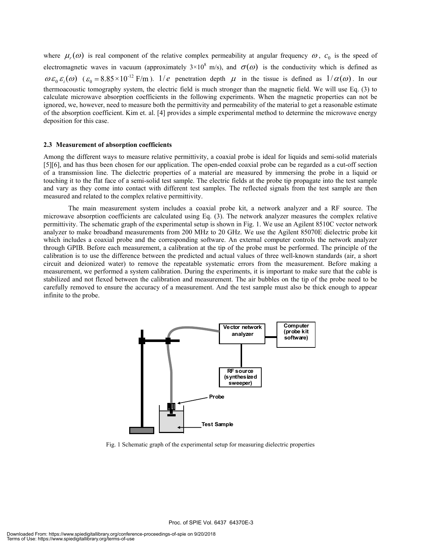where  $\mu_r(\omega)$  is real component of the relative complex permeability at angular frequency  $\omega$ ,  $c_0$  is the speed of electromagnetic waves in vacuum (approximately  $3\times10^8$  m/s), and  $\sigma(\omega)$  is the conductivity which is defined as  $\omega \varepsilon_0 \varepsilon_i(\omega)$  ( $\varepsilon_0 = 8.85 \times 10^{-12}$  F/m). 1/*e* penetration depth  $\mu$  in the tissue is defined as  $1/\alpha(\omega)$ . In our thermoacoustic tomography system, the electric field is much stronger than the magnetic field. We will use Eq. (3) to calculate microwave absorption coefficients in the following experiments. When the magnetic properties can not be ignored, we, however, need to measure both the permittivity and permeability of the material to get a reasonable estimate of the absorption coefficient. Kim et. al. [4] provides a simple experimental method to determine the microwave energy deposition for this case.

#### **2.3 Measurement of absorption coefficients**

Among the different ways to measure relative permittivity, a coaxial probe is ideal for liquids and semi-solid materials [5][6], and has thus been chosen for our application. The open-ended coaxial probe can be regarded as a cut-off section of a transmission line. The dielectric properties of a material are measured by immersing the probe in a liquid or touching it to the flat face of a semi-solid test sample. The electric fields at the probe tip propagate into the test sample and vary as they come into contact with different test samples. The reflected signals from the test sample are then measured and related to the complex relative permittivity.

The main measurement system includes a coaxial probe kit, a network analyzer and a RF source. The microwave absorption coefficients are calculated using Eq. (3). The network analyzer measures the complex relative permittivity. The schematic graph of the experimental setup is shown in Fig. 1. We use an Agilent 8510C vector network analyzer to make broadband measurements from 200 MHz to 20 GHz. We use the Agilent 85070E dielectric probe kit which includes a coaxial probe and the corresponding software. An external computer controls the network analyzer through GPIB. Before each measurement, a calibration at the tip of the probe must be performed. The principle of the calibration is to use the difference between the predicted and actual values of three well-known standards (air, a short circuit and deionized water) to remove the repeatable systematic errors from the measurement. Before making a measurement, we performed a system calibration. During the experiments, it is important to make sure that the cable is stabilized and not flexed between the calibration and measurement. The air bubbles on the tip of the probe need to be carefully removed to ensure the accuracy of a measurement. And the test sample must also be thick enough to appear infinite to the probe.



Fig. 1 Schematic graph of the experimental setup for measuring dielectric properties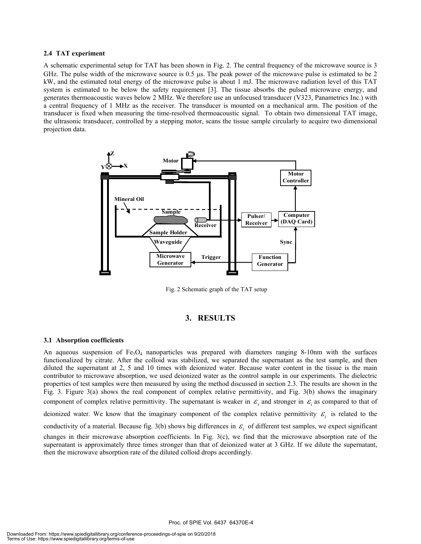#### **2.4 TAT experiment**

A schematic experimental setup for TAT has been shown in Fig. 2. The central frequency of the microwave source is 3 GHz. The pulse width of the microwave source is 0.5 µs. The peak power of the microwave pulse is estimated to be 2 kW, and the estimated total energy of the microwave pulse is about 1 mJ. The microwave radiation level of this TAT system is estimated to be below the safety requirement [3]. The tissue absorbs the pulsed microwave energy, and generates thermoacoustic waves below 2 MHz. We therefore use an unfocused transducer (V323, Panametrics Inc.) with a central frequency of 1 MHz as the receiver. The transducer is mounted on a mechanical arm. The position of the transducer is fixed when measuring the time-resolved thermoacoustic signal. To obtain two dimensional TAT image, the ultrasonic transducer, controlled by a stepping motor, scans the tissue sample circularly to acquire two dimensional projection data.



Fig. 2 Schematic graph of the TAT setup

#### **3. RESULTS**

#### **3.1 Absorption coefficients**

An aqueous suspension of  $Fe<sub>3</sub>O<sub>4</sub>$  nanoparticles was prepared with diameters ranging 8-10nm with the surfaces functionalized by citrate. After the colloid was stabilized, we separated the supernatant as the test sample, and then diluted the supernatant at 2, 5 and 10 times with deionized water. Because water content in the tissue is the main contributor to microwave absorption, we used deionized water as the control sample in our experiments. The dielectric properties of test samples were then measured by using the method discussed in section 2.3. The results are shown in the Fig. 3. Figure 3(a) shows the real component of complex relative permittivity, and Fig. 3(b) shows the imaginary component of complex relative permittivity. The supernatant is weaker in  $\mathcal{E}_r$  and stronger in  $\mathcal{E}_i$  as compared to that of deionized water. We know that the imaginary component of the complex relative permittivity  $\varepsilon$  is related to the conductivity of a material. Because fig. 3(b) shows big differences in  $\varepsilon$  of different test samples, we expect significant changes in their microwave absorption coefficients. In Fig. 3(c), we find that the microwave absorption rate of the supernatant is approximately three times stronger than that of deionized water at 3 GHz. If we dilute the supernatant, then the microwave absorption rate of the diluted colloid drops accordingly.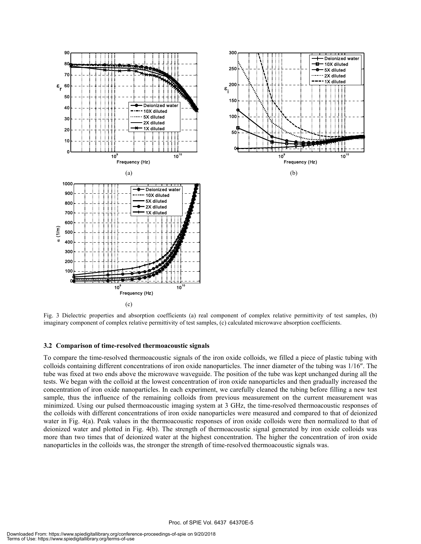

Fig. 3 Dielectric properties and absorption coefficients (a) real component of complex relative permittivity of test samples, (b) imaginary component of complex relative permittivity of test samples, (c) calculated microwave absorption coefficients.

#### **3.2 Comparison of time-resolved thermoacoustic signals**

To compare the time-resolved thermoacoustic signals of the iron oxide colloids, we filled a piece of plastic tubing with colloids containing different concentrations of iron oxide nanoparticles. The inner diameter of the tubing was 1/16″. The tube was fixed at two ends above the microwave waveguide. The position of the tube was kept unchanged during all the tests. We began with the colloid at the lowest concentration of iron oxide nanoparticles and then gradually increased the concentration of iron oxide nanoparticles. In each experiment, we carefully cleaned the tubing before filling a new test sample, thus the influence of the remaining colloids from previous measurement on the current measurement was minimized. Using our pulsed thermoacoustic imaging system at 3 GHz, the time-resolved thermoacoustic responses of the colloids with different concentrations of iron oxide nanoparticles were measured and compared to that of deionized water in Fig. 4(a). Peak values in the thermoacoustic responses of iron oxide colloids were then normalized to that of deionized water and plotted in Fig. 4(b). The strength of thermoacoustic signal generated by iron oxide colloids was more than two times that of deionized water at the highest concentration. The higher the concentration of iron oxide nanoparticles in the colloids was, the stronger the strength of time-resolved thermoacoustic signals was.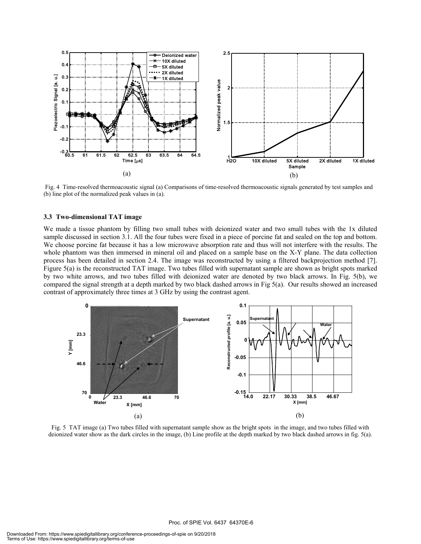

 Fig. 4 Time-resolved thermoacoustic signal (a) Comparisons of time-resolved thermoacoustic signals generated by test samples and (b) line plot of the normalized peak values in (a).

#### **3.3 Two-dimensional TAT image**

We made a tissue phantom by filling two small tubes with deionized water and two small tubes with the 1x diluted sample discussed in section 3.1. All the four tubes were fixed in a piece of porcine fat and sealed on the top and bottom. We choose porcine fat because it has a low microwave absorption rate and thus will not interfere with the results. The whole phantom was then immersed in mineral oil and placed on a sample base on the X-Y plane. The data collection process has been detailed in section 2.4. The image was reconstructed by using a filtered backprojection method [7]. Figure 5(a) is the reconstructed TAT image. Two tubes filled with supernatant sample are shown as bright spots marked by two white arrows, and two tubes filled with deionized water are denoted by two black arrows. In Fig. 5(b), we compared the signal strength at a depth marked by two black dashed arrows in Fig 5(a). Our results showed an increased contrast of approximately three times at 3 GHz by using the contrast agent.



Fig. 5 TAT image (a) Two tubes filled with supernatant sample show as the bright spots in the image, and two tubes filled with deionized water show as the dark circles in the image, (b) Line profile at the depth marked by two black dashed arrows in fig. 5(a).